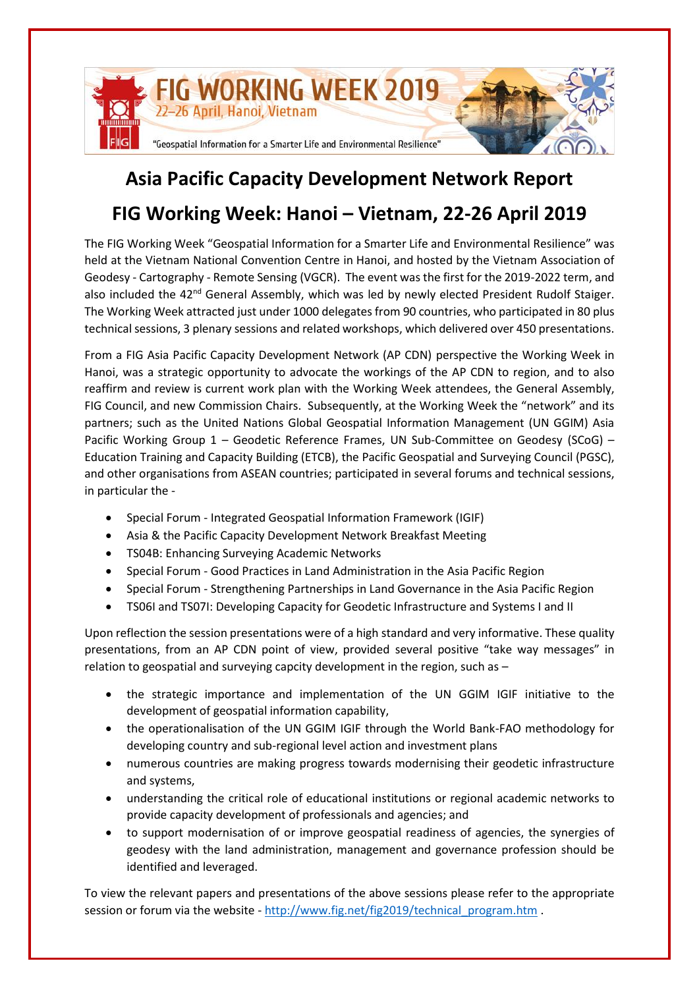

## **Asia Pacific Capacity Development Network Report**

## **FIG Working Week: Hanoi – Vietnam, 22-26 April 2019**

The FIG Working Week "Geospatial Information for a Smarter Life and Environmental Resilience" was held at the Vietnam National Convention Centre in Hanoi, and hosted by the Vietnam Association of Geodesy - Cartography - Remote Sensing (VGCR). The event was the first for the 2019-2022 term, and also included the 42<sup>nd</sup> General Assembly, which was led by newly elected President Rudolf Staiger. The Working Week attracted just under 1000 delegates from 90 countries, who participated in 80 plus technical sessions, 3 plenary sessions and related workshops, which delivered over 450 presentations.

From a FIG Asia Pacific Capacity Development Network (AP CDN) perspective the Working Week in Hanoi, was a strategic opportunity to advocate the workings of the AP CDN to region, and to also reaffirm and review is current work plan with the Working Week attendees, the General Assembly, FIG Council, and new Commission Chairs. Subsequently, at the Working Week the "network" and its partners; such as the United Nations Global Geospatial Information Management (UN GGIM) Asia Pacific Working Group 1 – Geodetic Reference Frames, UN Sub-Committee on Geodesy (SCoG) – Education Training and Capacity Building (ETCB), the Pacific Geospatial and Surveying Council (PGSC), and other organisations from ASEAN countries; participated in several forums and technical sessions, in particular the -

- Special Forum Integrated Geospatial Information Framework (IGIF)
- Asia & the Pacific Capacity Development Network Breakfast Meeting
- TS04B: Enhancing Surveying Academic Networks
- Special Forum Good Practices in Land Administration in the Asia Pacific Region
- Special Forum Strengthening Partnerships in Land Governance in the Asia Pacific Region
- TS06I and TS07I: Developing Capacity for Geodetic Infrastructure and Systems I and II

Upon reflection the session presentations were of a high standard and very informative. These quality presentations, from an AP CDN point of view, provided several positive "take way messages" in relation to geospatial and surveying capcity development in the region, such as –

- the strategic importance and implementation of the UN GGIM IGIF initiative to the development of geospatial information capability,
- the operationalisation of the UN GGIM IGIF through the World Bank-FAO methodology for developing country and sub-regional level action and investment plans
- numerous countries are making progress towards modernising their geodetic infrastructure and systems,
- understanding the critical role of educational institutions or regional academic networks to provide capacity development of professionals and agencies; and
- to support modernisation of or improve geospatial readiness of agencies, the synergies of geodesy with the land administration, management and governance profession should be identified and leveraged.

To view the relevant papers and presentations of the above sessions please refer to the appropriate session or forum via the website - [http://www.fig.net/fig2019/technical\\_program.htm](http://www.fig.net/fig2019/technical_program.htm) .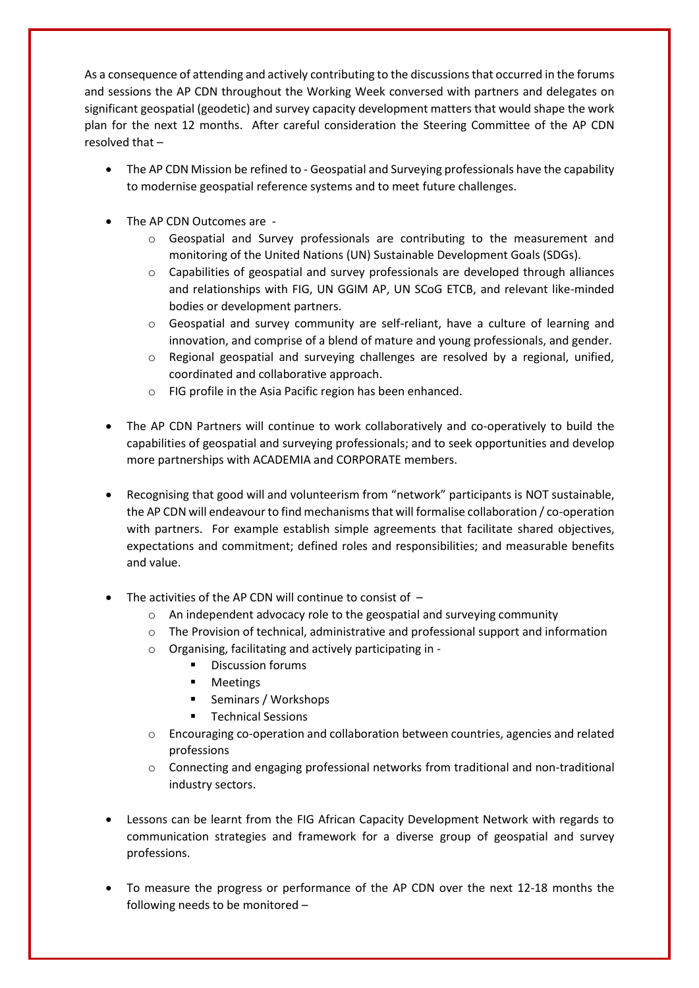As a consequence of attending and actively contributing to the discussions that occurred in the forums and sessions the AP CDN throughout the Working Week conversed with partners and delegates on significant geospatial (geodetic) and survey capacity development matters that would shape the work plan for the next 12 months. After careful consideration the Steering Committee of the AP CDN resolved that –

- The AP CDN Mission be refined to Geospatial and Surveying professionals have the capability to modernise geospatial reference systems and to meet future challenges.
- The AP CDN Outcomes are
	- o Geospatial and Survey professionals are contributing to the measurement and monitoring of the United Nations (UN) Sustainable Development Goals (SDGs).
	- o Capabilities of geospatial and survey professionals are developed through alliances and relationships with FIG, UN GGIM AP, UN SCoG ETCB, and relevant like-minded bodies or development partners.
	- $\circ$  Geospatial and survey community are self-reliant, have a culture of learning and innovation, and comprise of a blend of mature and young professionals, and gender.
	- o Regional geospatial and surveying challenges are resolved by a regional, unified, coordinated and collaborative approach.
	- o FIG profile in the Asia Pacific region has been enhanced.
- The AP CDN Partners will continue to work collaboratively and co-operatively to build the capabilities of geospatial and surveying professionals; and to seek opportunities and develop more partnerships with ACADEMIA and CORPORATE members.
- Recognising that good will and volunteerism from "network" participants is NOT sustainable, the AP CDN will endeavour to find mechanisms that will formalise collaboration / co-operation with partners. For example establish simple agreements that facilitate shared objectives, expectations and commitment; defined roles and responsibilities; and measurable benefits and value.
- The activities of the AP CDN will continue to consist of  $$ 
	- o An independent advocacy role to the geospatial and surveying community
	- o The Provision of technical, administrative and professional support and information
	- o Organising, facilitating and actively participating in
		- **•** Discussion forums
		- Meetings
		- Seminars / Workshops
		- **Technical Sessions**
	- o Encouraging co-operation and collaboration between countries, agencies and related professions
	- $\circ$  Connecting and engaging professional networks from traditional and non-traditional industry sectors.
- Lessons can be learnt from the FIG African Capacity Development Network with regards to communication strategies and framework for a diverse group of geospatial and survey professions.
- To measure the progress or performance of the AP CDN over the next 12-18 months the following needs to be monitored –